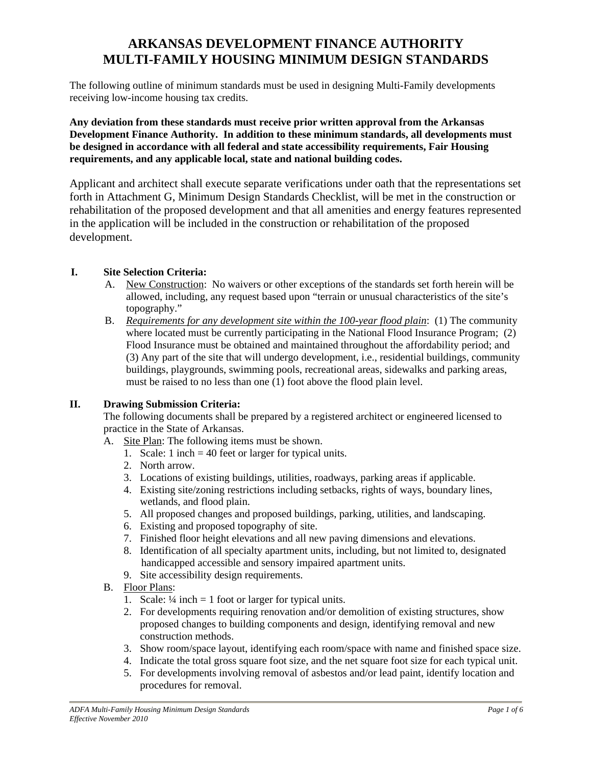# **ARKANSAS DEVELOPMENT FINANCE AUTHORITY MULTI-FAMILY HOUSING MINIMUM DESIGN STANDARDS**

The following outline of minimum standards must be used in designing Multi-Family developments receiving low-income housing tax credits.

**Any deviation from these standards must receive prior written approval from the Arkansas Development Finance Authority. In addition to these minimum standards, all developments must be designed in accordance with all federal and state accessibility requirements, Fair Housing requirements, and any applicable local, state and national building codes.**

Applicant and architect shall execute separate verifications under oath that the representations set forth in Attachment G, Minimum Design Standards Checklist, will be met in the construction or rehabilitation of the proposed development and that all amenities and energy features represented in the application will be included in the construction or rehabilitation of the proposed development.

#### **I. Site Selection Criteria:**

- A. New Construction: No waivers or other exceptions of the standards set forth herein will be allowed, including, any request based upon "terrain or unusual characteristics of the site's topography."
- B. *Requirements for any development site within the 100-year flood plain*: (1) The community where located must be currently participating in the National Flood Insurance Program; (2) Flood Insurance must be obtained and maintained throughout the affordability period; and (3) Any part of the site that will undergo development, i.e., residential buildings, community buildings, playgrounds, swimming pools, recreational areas, sidewalks and parking areas, must be raised to no less than one (1) foot above the flood plain level.

#### **II. Drawing Submission Criteria:**

The following documents shall be prepared by a registered architect or engineered licensed to practice in the State of Arkansas.

- A. Site Plan: The following items must be shown.
	- 1. Scale: 1 inch = 40 feet or larger for typical units.
	- 2. North arrow.
	- 3. Locations of existing buildings, utilities, roadways, parking areas if applicable.
	- 4. Existing site/zoning restrictions including setbacks, rights of ways, boundary lines, wetlands, and flood plain.
	- 5. All proposed changes and proposed buildings, parking, utilities, and landscaping.
	- 6. Existing and proposed topography of site.
	- 7. Finished floor height elevations and all new paving dimensions and elevations.
	- 8. Identification of all specialty apartment units, including, but not limited to, designated handicapped accessible and sensory impaired apartment units.
	- 9. Site accessibility design requirements.
- B. Floor Plans:
	- 1. Scale:  $\frac{1}{4}$  inch = 1 foot or larger for typical units.
	- 2. For developments requiring renovation and/or demolition of existing structures, show proposed changes to building components and design, identifying removal and new construction methods.
	- 3. Show room/space layout, identifying each room/space with name and finished space size.
	- 4. Indicate the total gross square foot size, and the net square foot size for each typical unit.
	- 5. For developments involving removal of asbestos and/or lead paint, identify location and procedures for removal.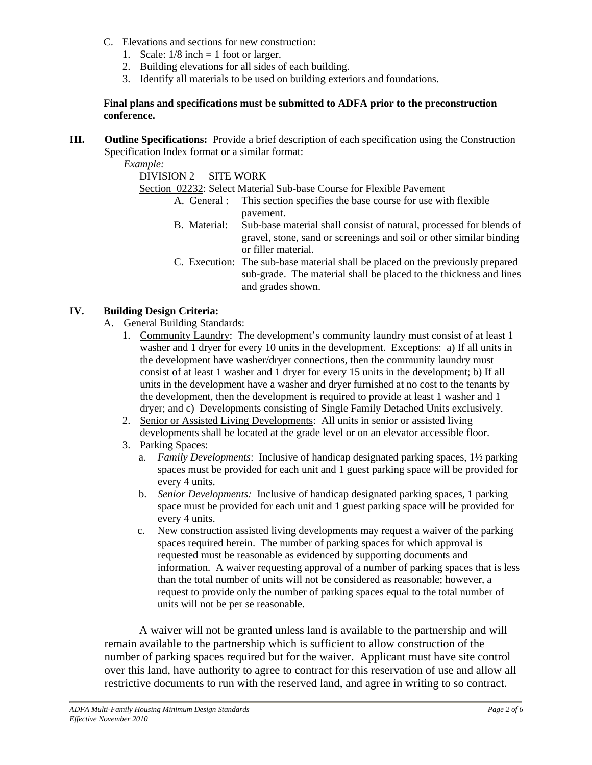- C. Elevations and sections for new construction:
	- 1. Scale:  $1/8$  inch = 1 foot or larger.
	- 2. Building elevations for all sides of each building.
	- 3. Identify all materials to be used on building exteriors and foundations.

#### **Final plans and specifications must be submitted to ADFA prior to the preconstruction conference.**

**III. Outline Specifications:** Provide a brief description of each specification using the Construction Specification Index format or a similar format:

*Example:*

DIVISION 2 SITE WORK

Section 02232: Select Material Sub-base Course for Flexible Pavement

- A. General : This section specifies the base course for use with flexible pavement.
	- B. Material: Sub-base material shall consist of natural, processed for blends of gravel, stone, sand or screenings and soil or other similar binding or filler material.
	- C. Execution: The sub-base material shall be placed on the previously prepared sub-grade. The material shall be placed to the thickness and lines and grades shown.

## **IV. Building Design Criteria:**

- A. General Building Standards:
	- 1. Community Laundry: The development's community laundry must consist of at least 1 washer and 1 dryer for every 10 units in the development. Exceptions: a) If all units in the development have washer/dryer connections, then the community laundry must consist of at least 1 washer and 1 dryer for every 15 units in the development; b) If all units in the development have a washer and dryer furnished at no cost to the tenants by the development, then the development is required to provide at least 1 washer and 1 dryer; and c) Developments consisting of Single Family Detached Units exclusively.
	- 2. Senior or Assisted Living Developments: All units in senior or assisted living developments shall be located at the grade level or on an elevator accessible floor.
	- 3. Parking Spaces:
		- a. *Family Developments*: Inclusive of handicap designated parking spaces, 1½ parking spaces must be provided for each unit and 1 guest parking space will be provided for every 4 units.
		- b. *Senior Developments:* Inclusive of handicap designated parking spaces, 1 parking space must be provided for each unit and 1 guest parking space will be provided for every 4 units.
		- c. New construction assisted living developments may request a waiver of the parking spaces required herein. The number of parking spaces for which approval is requested must be reasonable as evidenced by supporting documents and information. A waiver requesting approval of a number of parking spaces that is less than the total number of units will not be considered as reasonable; however, a request to provide only the number of parking spaces equal to the total number of units will not be per se reasonable. A waiver will not be granted unless land is available to the partnership and will

remain available to the partnership which is sufficient to allow construction of the number of parking spaces required but for the waiver. Applicant must have site control over this land, have authority to agree to contract for this reservation of use and allow all restrictive documents to run with the reserved land, and agree in writing to so contract.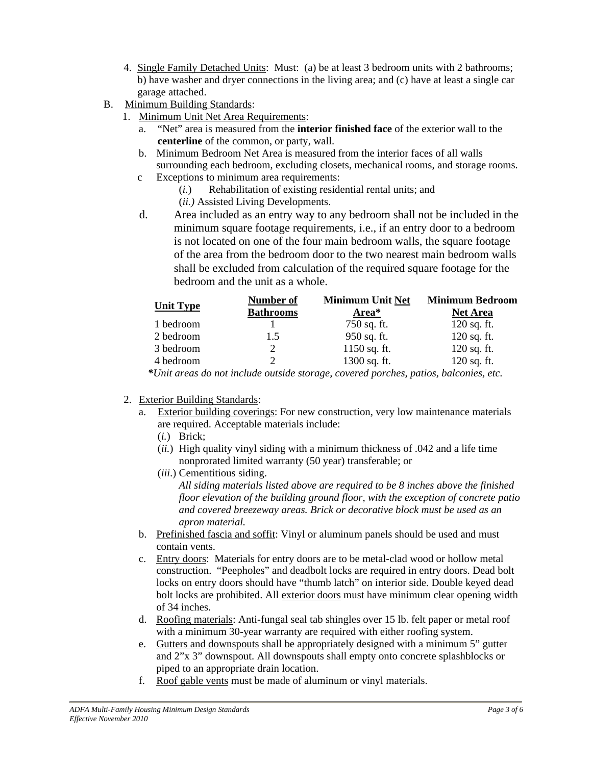- 4. Single Family Detached Units: Must: (a) be at least 3 bedroom units with 2 bathrooms; b) have washer and dryer connections in the living area; and (c) have at least a single car garage attached.
- B. Minimum Building Standards:
	- 1. Minimum Unit Net Area Requirements:
		- a. "Net" area is measured from the **interior finished face** of the exterior wall to the **centerline** of the common, or party, wall.
		- b. Minimum Bedroom Net Area is measured from the interior faces of all walls surrounding each bedroom, excluding closets, mechanical rooms, and storage rooms. c Exceptions to minimum area requirements:
			- (*i.*) Rehabilitation of existing residential rental units; and
				- (*ii.)* Assisted Living Developments.
		- d. Area included as an entry way to any bedroom shall not be included in the minimum square footage requirements, i.e., if an entry door to a bedroom is not located on one of the four main bedroom walls, the square footage of the area from the bedroom door to the two nearest main bedroom walls shall be excluded from calculation of the required square footage for the

|                                 | bedroom and the unit as a whole. |                                                                                      |                                  |
|---------------------------------|----------------------------------|--------------------------------------------------------------------------------------|----------------------------------|
| <b>Unit Type</b>                |                                  |                                                                                      | Minimum Unit Net Minimum Bedroom |
|                                 | Kathroon<br><u>Juth ool</u>      | <b>Area*</b>                                                                         | <b>Net Area</b>                  |
| 1 bedroom                       |                                  | 750 sq. ft.                                                                          | $120$ sq. ft                     |
| 2 bedroom                       |                                  | 950 sq. ft.                                                                          | $120$ sq. ft                     |
| 3 bedroom                       |                                  | $1150$ sq. f                                                                         | $120$ sq. ft                     |
| 4 bedroom                       |                                  | 1300 sq. ft.                                                                         | $120$ sq. ft                     |
|                                 |                                  | *Unit areas do not include outside storage, covered porches, patios, balconies, etc. |                                  |
|                                 |                                  |                                                                                      |                                  |
| 2. Exterior Building Standards: |                                  |                                                                                      |                                  |

- - a. Exterior building coverings: For new construction, very low maintenance materials are required. Acceptable materials include:
		- (*i.*) Brick;
		- (*ii.*) High quality vinyl siding with a minimum thickness of .042 and a life time nonprorated limited warranty (50 year) transferable; or
		- (*iii*.) Cementitious siding.

*All siding materials listed above are required to be 8 inches above the finished floor elevation of the building ground floor, with the exception of concrete patio and covered breezeway areas. Brick or decorative block must be used as an apron material.*

- b. Prefinished fascia and soffit: Vinyl or aluminum panels should be used and must contain vents.
- c. Entry doors: Materials for entry doors are to be metal-clad wood or hollow metal construction. "Peepholes" and deadbolt locks are required in entry doors. Dead bolt locks on entry doors should have "thumb latch" on interior side. Double keyed dead bolt locks are prohibited. All exterior doors must have minimum clear opening width of 34 inches.
- d. Roofing materials: Anti-fungal seal tab shingles over 15 lb. felt paper or metal roof with a minimum 30-year warranty are required with either roofing system.
- e. Gutters and downspouts shall be appropriately designed with a minimum 5" gutter and 2"x 3" downspout. All downspouts shall empty onto concrete splashblocks or piped to an appropriate drain location.
- f. Roof gable vents must be made of aluminum or vinyl materials.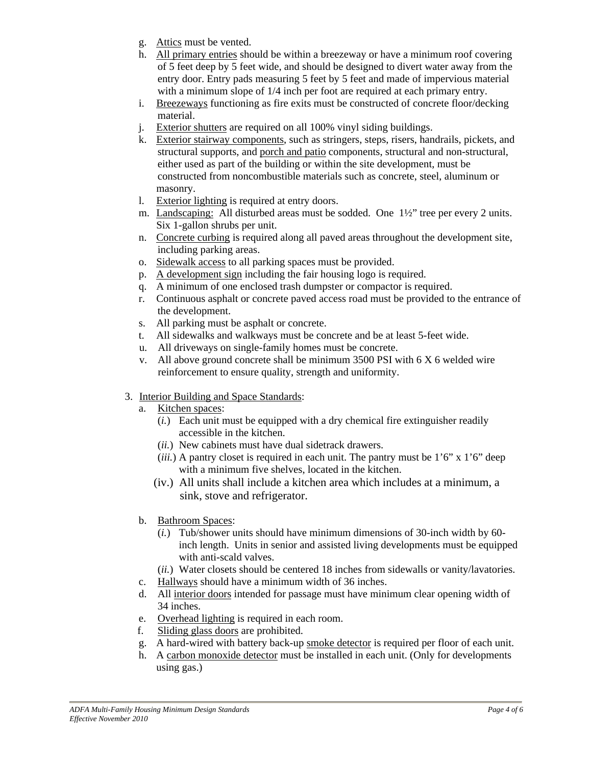- g. Attics must be vented.
- h. All primary entries should be within a breezeway or have a minimum roof covering of 5 feet deep by 5 feet wide, and should be designed to divert water away from the entry door. Entry pads measuring 5 feet by 5 feet and made of impervious material with a minimum slope of 1/4 inch per foot are required at each primary entry.
- i. Breezeways functioning as fire exits must be constructed of concrete floor/decking material.
- j. Exterior shutters are required on all 100% vinyl siding buildings.
- k. Exterior stairway components, such as stringers, steps, risers, handrails, pickets, and structural supports, and porch and patio components, structural and non-structural, either used as part of the building or within the site development, must be constructed from noncombustible materials such as concrete, steel, aluminum or masonry.
- l. Exterior lighting is required at entry doors.
- m. Landscaping: All disturbed areas must be sodded. One 1½" tree per every 2 units. Six 1-gallon shrubs per unit.
- n. Concrete curbing is required along all paved areas throughout the development site, including parking areas.
- o. Sidewalk access to all parking spaces must be provided.
- p. A development sign including the fair housing logo is required.
- q. A minimum of one enclosed trash dumpster or compactor is required.
- r. Continuous asphalt or concrete paved access road must be provided to the entrance of the development.
- s. All parking must be asphalt or concrete.
- t. All sidewalks and walkways must be concrete and be at least 5-feet wide.
- u. All driveways on single-family homes must be concrete.
- v. All above ground concrete shall be minimum 3500 PSI with 6 X 6 welded wire reinforcement to ensure quality, strength and uniformity.
- 3. Interior Building and Space Standards:
	- a. Kitchen spaces:
		- (*i.*) Each unit must be equipped with a dry chemical fire extinguisher readily accessible in the kitchen.
		- (*ii.*) New cabinets must have dual sidetrack drawers.
		- (*iii.*) A pantry closet is required in each unit. The pantry must be 1'6" x 1'6" deep with a minimum five shelves, located in the kitchen.
		- (iv.) All units shall include a kitchen area which includes at a minimum, a sink, stove and refrigerator.
	- b. Bathroom Spaces:
		- (*i.*) Tub/shower units should have minimum dimensions of 30-inch width by 60 inch length. Units in senior and assisted living developments must be equipped with anti-scald valves.
		- (*ii.*) Water closets should be centered 18 inches from sidewalls or vanity/lavatories.
	- c. Hallways should have a minimum width of 36 inches.
	- d. All interior doors intended for passage must have minimum clear opening width of 34 inches.
	- e. Overhead lighting is required in each room.
	- f. Sliding glass doors are prohibited.
	- g. A hard-wired with battery back-up smoke detector is required per floor of each unit.
	- h. A carbon monoxide detector must be installed in each unit. (Only for developments using gas.)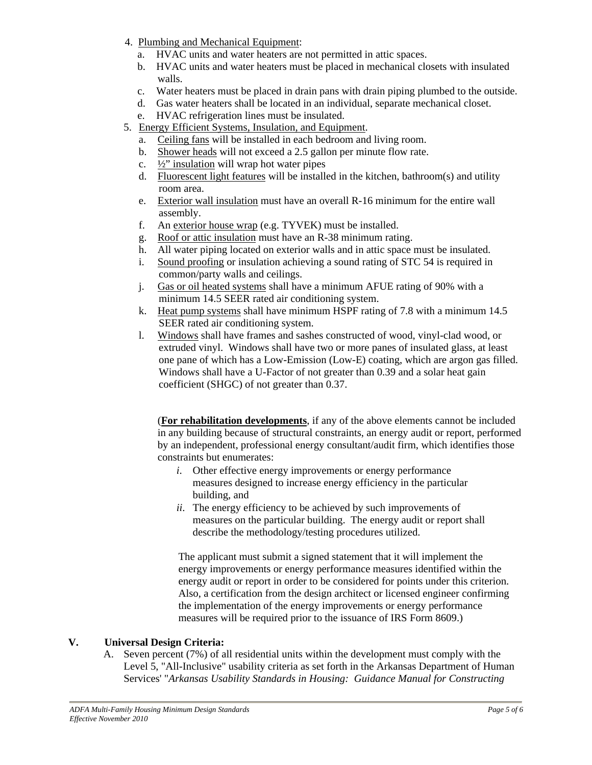- 4. Plumbing and Mechanical Equipment:
	- a. HVAC units and water heaters are not permitted in attic spaces.
	- b. HVAC units and water heaters must be placed in mechanical closets with insulated walls.
	- c. Water heaters must be placed in drain pans with drain piping plumbed to the outside.
	- d. Gas water heaters shall be located in an individual, separate mechanical closet.
	- e. HVAC refrigeration lines must be insulated.
- 5. Energy Efficient Systems, Insulation, and Equipment.
	- a. Ceiling fans will be installed in each bedroom and living room.
	- b. Shower heads will not exceed a 2.5 gallon per minute flow rate.
	- c.  $\frac{1}{2}$ " insulation will wrap hot water pipes
	- d. Fluorescent light features will be installed in the kitchen, bathroom(s) and utility room area.
	- e. Exterior wall insulation must have an overall R-16 minimum for the entire wall assembly.
	- f. An exterior house wrap (e.g. TYVEK) must be installed.
	- g. Roof or attic insulation must have an R-38 minimum rating.
	- h. All water piping located on exterior walls and in attic space must be insulated.
	- i. Sound proofing or insulation achieving a sound rating of STC 54 is required in common/party walls and ceilings.
	- j. Gas or oil heated systems shall have a minimum AFUE rating of 90% with a minimum 14.5 SEER rated air conditioning system.
	- k. Heat pump systems shall have minimum HSPF rating of 7.8 with a minimum 14.5 SEER rated air conditioning system.
	- l. Windows shall have frames and sashes constructed of wood, vinyl-clad wood, or extruded vinyl. Windows shall have two or more panes of insulated glass, at least one pane of which has a Low-Emission (Low-E) coating, which are argon gas filled. Windows shall have a U-Factor of not greater than 0.39 and a solar heat gain coefficient (SHGC) of not greater than 0.37.

(**For rehabilitation developments**, if any of the above elements cannot be included in any building because of structural constraints, an energy audit or report, performed by an independent, professional energy consultant/audit firm, which identifies those constraints but enumerates:

- *i*. Other effective energy improvements or energy performance measures designed to increase energy efficiency in the particular building, and
- *ii*. The energy efficiency to be achieved by such improvements of measures on the particular building. The energy audit or report shall describe the methodology/testing procedures utilized.

The applicant must submit a signed statement that it will implement the energy improvements or energy performance measures identified within the energy audit or report in order to be considered for points under this criterion. Also, a certification from the design architect or licensed engineer confirming the implementation of the energy improvements or energy performance measures will be required prior to the issuance of IRS Form 8609.)

## **V. Universal Design Criteria:**

A. Seven percent (7%) of all residential units within the development must comply with the Level 5, "All-Inclusive" usability criteria as set forth in the Arkansas Department of Human Services' "*Arkansas Usability Standards in Housing: Guidance Manual for Constructing*